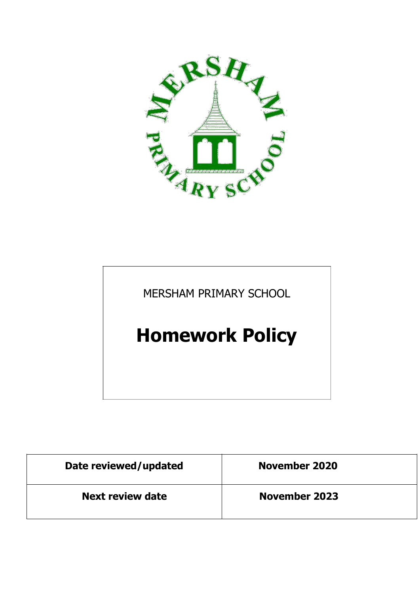

MERSHAM PRIMARY SCHOOL

# **Homework Policy**

| Date reviewed/updated   | <b>November 2020</b> |
|-------------------------|----------------------|
| <b>Next review date</b> | <b>November 2023</b> |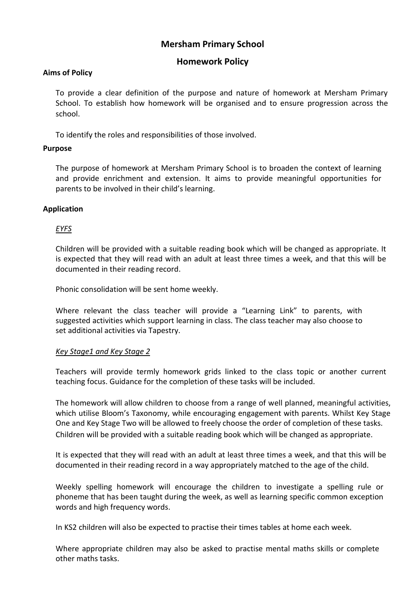# **Mersham Primary School**

## **Homework Policy**

### **Aims of Policy**

To provide a clear definition of the purpose and nature of homework at Mersham Primary School. To establish how homework will be organised and to ensure progression across the school.

To identify the roles and responsibilities of those involved.

#### **Purpose**

The purpose of homework at Mersham Primary School is to broaden the context of learning and provide enrichment and extension. It aims to provide meaningful opportunities for parents to be involved in their child's learning.

## **Application**

#### *EYFS*

Children will be provided with a suitable reading book which will be changed as appropriate. It is expected that they will read with an adult at least three times a week, and that this will be documented in their reading record.

Phonic consolidation will be sent home weekly.

Where relevant the class teacher will provide a "Learning Link" to parents, with suggested activities which support learning in class. The class teacher may also choose to set additional activities via Tapestry.

#### *Key Stage1 and Key Stage 2*

Teachers will provide termly homework grids linked to the class topic or another current teaching focus. Guidance for the completion of these tasks will be included.

The homework will allow children to choose from a range of well planned, meaningful activities, which utilise Bloom's Taxonomy, while encouraging engagement with parents. Whilst Key Stage One and Key Stage Two will be allowed to freely choose the order of completion of these tasks. Children will be provided with a suitable reading book which will be changed as appropriate.

It is expected that they will read with an adult at least three times a week, and that this will be documented in their reading record in a way appropriately matched to the age of the child.

Weekly spelling homework will encourage the children to investigate a spelling rule or phoneme that has been taught during the week, as well as learning specific common exception words and high frequency words.

In KS2 children will also be expected to practise their times tables at home each week.

Where appropriate children may also be asked to practise mental maths skills or complete other maths tasks.